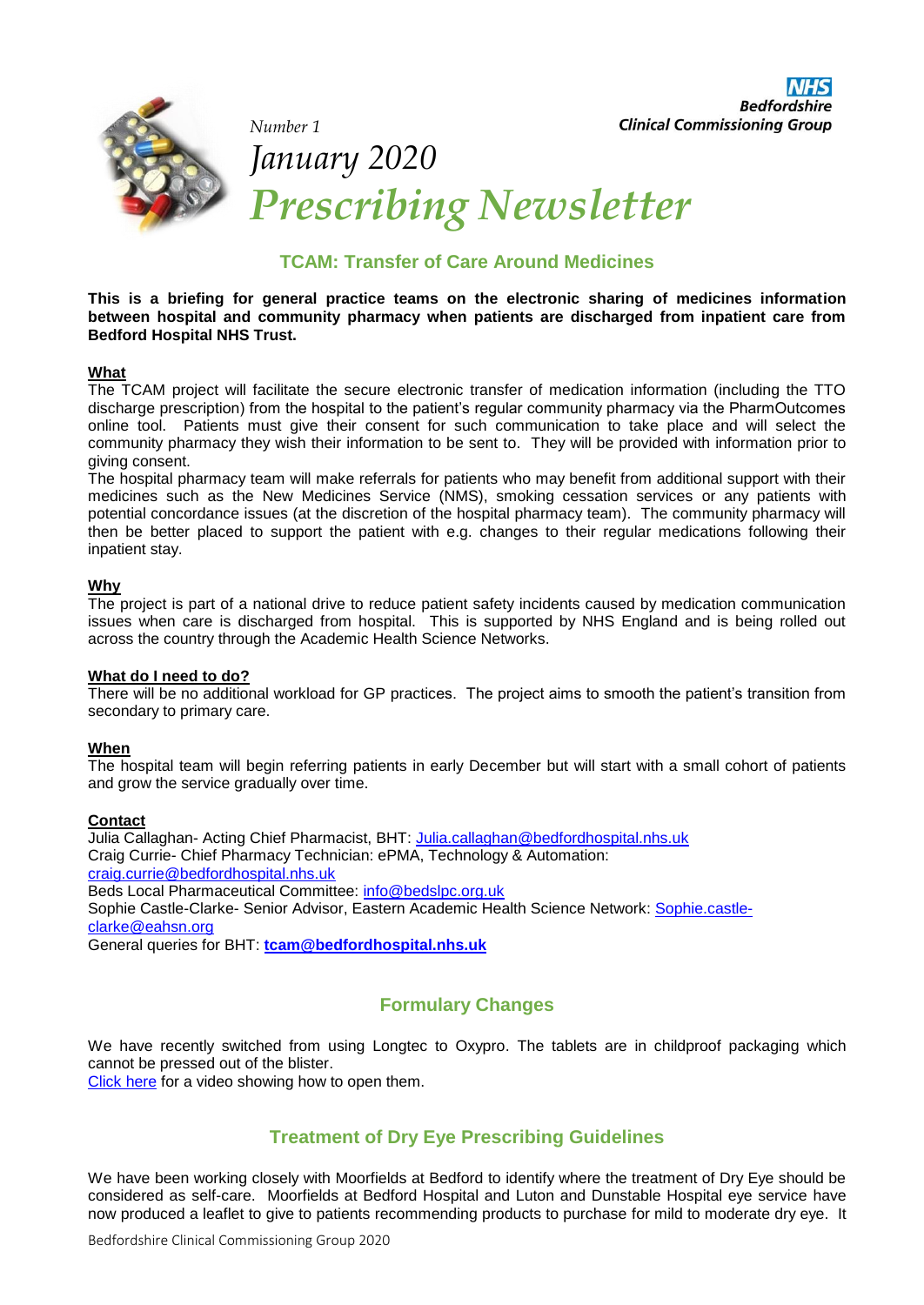

*Number 1* 

**Bedfordshire Clinical Commissioning Group** 

# *January 2020 Prescribing Newsletter*

## **TCAM: Transfer of Care Around Medicines**

**This is a briefing for general practice teams on the electronic sharing of medicines information between hospital and community pharmacy when patients are discharged from inpatient care from Bedford Hospital NHS Trust.**

### **What**

The TCAM project will facilitate the secure electronic transfer of medication information (including the TTO discharge prescription) from the hospital to the patient's regular community pharmacy via the PharmOutcomes online tool. Patients must give their consent for such communication to take place and will select the community pharmacy they wish their information to be sent to. They will be provided with information prior to giving consent.

The hospital pharmacy team will make referrals for patients who may benefit from additional support with their medicines such as the New Medicines Service (NMS), smoking cessation services or any patients with potential concordance issues (at the discretion of the hospital pharmacy team). The community pharmacy will then be better placed to support the patient with e.g. changes to their regular medications following their inpatient stay.

### **Why**

The project is part of a national drive to reduce patient safety incidents caused by medication communication issues when care is discharged from hospital. This is supported by NHS England and is being rolled out across the country through the Academic Health Science Networks.

#### **What do I need to do?**

There will be no additional workload for GP practices. The project aims to smooth the patient's transition from secondary to primary care.

#### **When**

The hospital team will begin referring patients in early December but will start with a small cohort of patients and grow the service gradually over time.

#### **Contact**

Julia Callaghan- Acting Chief Pharmacist, BHT: [Julia.callaghan@bedfordhospital.nhs.uk](mailto:Julia.callaghan@bedfordhospital.nhs.uk) Craig Currie- Chief Pharmacy Technician: ePMA, Technology & Automation: [craig.currie@bedfordhospital.nhs.uk](mailto:craig.currie@bedfordhospital.nhs.uk) Beds Local Pharmaceutical Committee: [info@bedslpc.org.uk](mailto:info@bedslpc.org.uk) Sophie Castle-Clarke- Senior Advisor, Eastern Academic Health Science Network: [Sophie.castle](mailto:Sophie.castle-clarke@eahsn.org)[clarke@eahsn.org](mailto:Sophie.castle-clarke@eahsn.org)

General queries for BHT: **[tcam@bedfordhospital.nhs.uk](mailto:tcam@bedfordhospital.nhs.uk)**

# **Formulary Changes**

We have recently switched from using Longtec to Oxypro. The tablets are in childproof packaging which cannot be pressed out of the blister.

[Click](https://www.oxypro-info.com/patient#how-to) here for a video showing how to open them.

# **Treatment of Dry Eye Prescribing Guidelines**

We have been working closely with Moorfields at Bedford to identify where the treatment of Dry Eye should be considered as self-care. Moorfields at Bedford Hospital and Luton and Dunstable Hospital eye service have now produced a leaflet to give to patients recommending products to purchase for mild to moderate dry eye. It